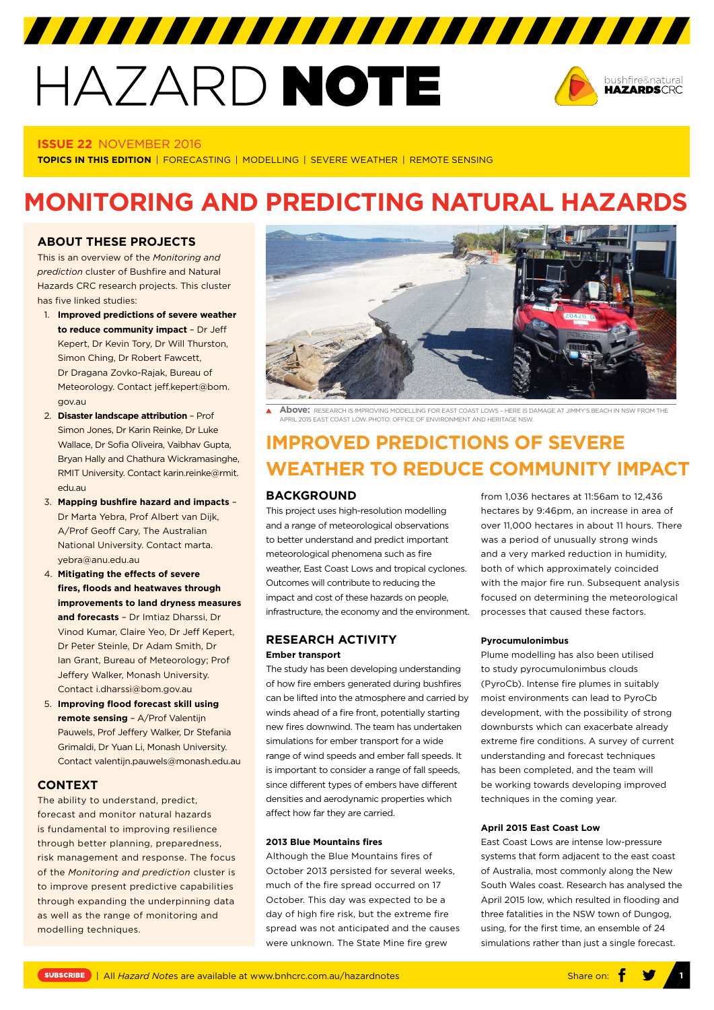# HAZARD NOTE



#### **ISSUE 22** NOVEMBER 2016

**TOPICS IN THIS EDITION** | FORECASTING | MODELLING | SEVERE WEATHER | REMOTE SENSING

# **MONITORING AND PREDICTING NATURAL HAZARDS**

# **ABOUT THESE PROJECTS**

This is an overview of the *Monitoring and prediction* cluster of Bushfire and Natural Hazards CRC research projects. This cluster has five linked studies:

- 1. **Improved predictions of severe weather to reduce community impact** – Dr Jeff Kepert, Dr Kevin Tory, Dr Will Thurston, Simon Ching, Dr Robert Fawcett, Dr Dragana Zovko-Rajak, Bureau of Meteorology. Contact jeff.kepert@bom. gov.au
- 2. **Disaster landscape attribution**  Prof Simon Jones, Dr Karin Reinke, Dr Luke Wallace, Dr Sofia Oliveira, Vaibhav Gupta, Bryan Hally and Chathura Wickramasinghe, RMIT University. Contact karin.reinke@rmit. edu.au
- 3. **Mapping bushfire hazard and impacts**  Dr Marta Yebra, Prof Albert van Dijk, A/Prof Geoff Cary, The Australian National University. Contact marta. yebra@anu.edu.au
- 4. **Mitigating the effects of severe fires, floods and heatwaves through improvements to land dryness measures and forecasts** – Dr Imtiaz Dharssi, Dr Vinod Kumar, Claire Yeo, Dr Jeff Kepert, Dr Peter Steinle, Dr Adam Smith, Dr Ian Grant, Bureau of Meteorology; Prof Jeffery Walker, Monash University. Contact i.dharssi@bom.gov.au
- 5. **Improving flood forecast skill using remote sensing** – A/Prof Valentijn Pauwels, Prof Jeffery Walker, Dr Stefania Grimaldi, Dr Yuan Li, Monash University. Contact valentijn.pauwels@monash.edu.au

# **CONTEXT**

The ability to understand, predict, forecast and monitor natural hazards is fundamental to improving resilience through better planning, preparedness, risk management and response. The focus of the *Monitoring and prediction* cluster is to improve present predictive capabilities through expanding the underpinning data as well as the range of monitoring and modelling techniques.



**Above:** RESEARCH IS IMPROVING MODELLING FOR EAST COAST LOWS – HERE IS DAMAGE AT JIMMY'S BEACH IN NSW FROM THE APRIL 2015 EAST COAST LOW. PHOTO: OFFICE OF ENVIRONMENT AND HERITAGE NSW.

# **IMPROVED PREDICTIONS OF SEVERE WEATHER TO REDUCE COMMUNITY IMPACT**

#### **BACKGROUND**

This project uses high-resolution modelling and a range of meteorological observations to better understand and predict important meteorological phenomena such as fire weather, East Coast Lows and tropical cyclones. Outcomes will contribute to reducing the impact and cost of these hazards on people, infrastructure, the economy and the environment.

# **RESEARCH ACTIVITY Ember transport**

The study has been developing understanding of how fire embers generated during bushfires can be lifted into the atmosphere and carried by winds ahead of a fire front, potentially starting new fires downwind. The team has undertaken simulations for ember transport for a wide range of wind speeds and ember fall speeds. It is important to consider a range of fall speeds, since different types of embers have different densities and aerodynamic properties which affect how far they are carried.

#### **2013 Blue Mountains fires**

Although the Blue Mountains fires of October 2013 persisted for several weeks, much of the fire spread occurred on 17 October. This day was expected to be a day of high fire risk, but the extreme fire spread was not anticipated and the causes were unknown. The State Mine fire grew

from 1,036 hectares at 11:56am to 12,436 hectares by 9:46pm, an increase in area of over 11,000 hectares in about 11 hours. There was a period of unusually strong winds and a very marked reduction in humidity, both of which approximately coincided with the major fire run. Subsequent analysis focused on determining the meteorological processes that caused these factors.

#### **Pyrocumulonimbus**

Plume modelling has also been utilised to study pyrocumulonimbus clouds (PyroCb). Intense fire plumes in suitably moist environments can lead to PyroCb development, with the possibility of strong downbursts which can exacerbate already extreme fire conditions. A survey of current understanding and forecast techniques has been completed, and the team will be working towards developing improved techniques in the coming year.

#### **April 2015 East Coast Low**

East Coast Lows are intense low-pressure systems that form adjacent to the east coast of Australia, most commonly along the New South Wales coast. Research has analysed the April 2015 low, which resulted in flooding and three fatalities in the NSW town of Dungog, using, for the first time, an ensemble of 24 simulations rather than just a single forecast.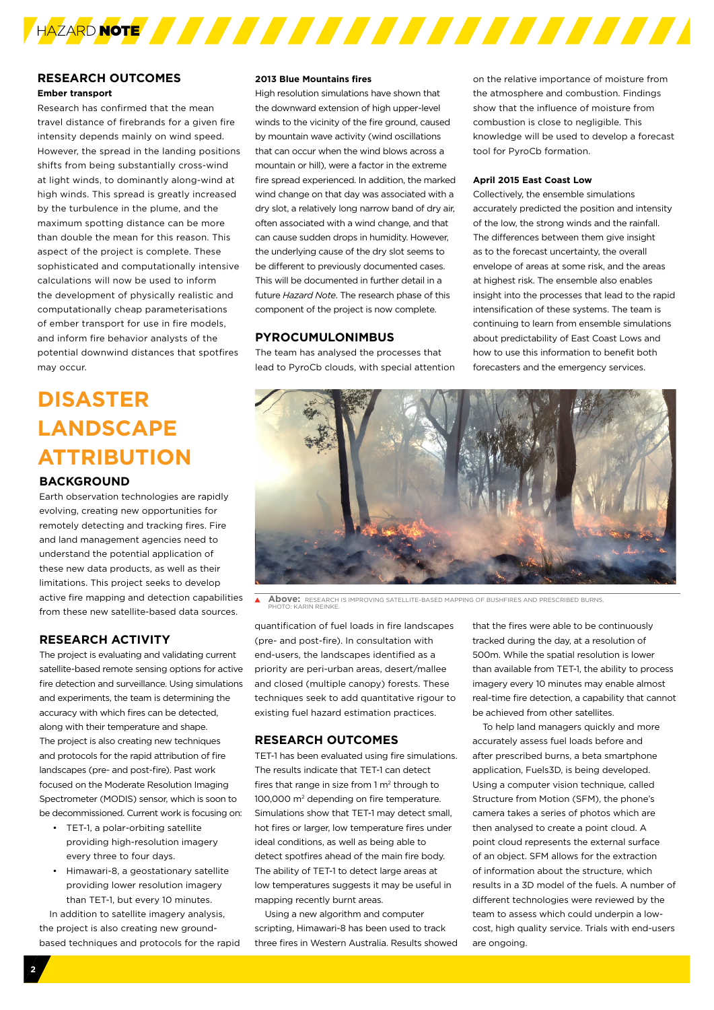

#### **RESEARCH OUTCOMES Ember transport**

Research has confirmed that the mean travel distance of firebrands for a given fire intensity depends mainly on wind speed. However, the spread in the landing positions shifts from being substantially cross-wind at light winds, to dominantly along-wind at high winds. This spread is greatly increased by the turbulence in the plume, and the maximum spotting distance can be more than double the mean for this reason. This aspect of the project is complete. These sophisticated and computationally intensive calculations will now be used to inform the development of physically realistic and computationally cheap parameterisations of ember transport for use in fire models, and inform fire behavior analysts of the potential downwind distances that spotfires may occur.

# **DISASTER LANDSCAPE ATTRIBUTION**

## **BACKGROUND**

Earth observation technologies are rapidly evolving, creating new opportunities for remotely detecting and tracking fires. Fire and land management agencies need to understand the potential application of these new data products, as well as their limitations. This project seeks to develop active fire mapping and detection capabilities from these new satellite-based data sources.

## **RESEARCH ACTIVITY**

The project is evaluating and validating current satellite-based remote sensing options for active fire detection and surveillance. Using simulations and experiments, the team is determining the accuracy with which fires can be detected, along with their temperature and shape. The project is also creating new techniques and protocols for the rapid attribution of fire landscapes (pre- and post-fire). Past work focused on the Moderate Resolution Imaging Spectrometer (MODIS) sensor, which is soon to be decommissioned. Current work is focusing on:

- TET-1, a polar-orbiting satellite providing high-resolution imagery every three to four days.
- Himawari-8, a geostationary satellite providing lower resolution imagery than TET-1, but every 10 minutes.

In addition to satellite imagery analysis, the project is also creating new groundbased techniques and protocols for the rapid

#### **2013 Blue Mountains fires**

High resolution simulations have shown that the downward extension of high upper-level winds to the vicinity of the fire ground, caused by mountain wave activity (wind oscillations that can occur when the wind blows across a mountain or hill), were a factor in the extreme fire spread experienced. In addition, the marked wind change on that day was associated with a dry slot, a relatively long narrow band of dry air, often associated with a wind change, and that can cause sudden drops in humidity. However, the underlying cause of the dry slot seems to be different to previously documented cases. This will be documented in further detail in a future *Hazard Note*. The research phase of this component of the project is now complete.

### **PYROCUMULONIMBUS**

The team has analysed the processes that lead to PyroCb clouds, with special attention

on the relative importance of moisture from the atmosphere and combustion. Findings show that the influence of moisture from combustion is close to negligible. This knowledge will be used to develop a forecast tool for PyroCb formation.

#### **April 2015 East Coast Low**

Collectively, the ensemble simulations accurately predicted the position and intensity of the low, the strong winds and the rainfall. The differences between them give insight as to the forecast uncertainty, the overall envelope of areas at some risk, and the areas at highest risk. The ensemble also enables insight into the processes that lead to the rapid intensification of these systems. The team is continuing to learn from ensemble simulations about predictability of East Coast Lows and how to use this information to benefit both forecasters and the emergency services.



 $\overline{\blacktriangle}$ **Above:** RESEARCH IS IMPROVING SATELLITE-BASED MAPPING OF BUSHFIRES AND PRESCRIBED BURNS. PHOTO: KARIN REINKE.

quantification of fuel loads in fire landscapes (pre- and post-fire). In consultation with end-users, the landscapes identified as a priority are peri-urban areas, desert/mallee and closed (multiple canopy) forests. These techniques seek to add quantitative rigour to existing fuel hazard estimation practices.

## **RESEARCH OUTCOMES**

TET-1 has been evaluated using fire simulations. The results indicate that TET-1 can detect fires that range in size from  $1 \text{ m}^2$  through to 100,000 m2 depending on fire temperature. Simulations show that TET-1 may detect small, hot fires or larger, low temperature fires under ideal conditions, as well as being able to detect spotfires ahead of the main fire body. The ability of TET-1 to detect large areas at low temperatures suggests it may be useful in mapping recently burnt areas.

Using a new algorithm and computer scripting, Himawari-8 has been used to track three fires in Western Australia. Results showed

that the fires were able to be continuously tracked during the day, at a resolution of 500m. While the spatial resolution is lower than available from TET-1, the ability to process imagery every 10 minutes may enable almost real-time fire detection, a capability that cannot be achieved from other satellites.

To help land managers quickly and more accurately assess fuel loads before and after prescribed burns, a beta smartphone application, Fuels3D, is being developed. Using a computer vision technique, called Structure from Motion (SEM), the phone's camera takes a series of photos which are then analysed to create a point cloud. A point cloud represents the external surface of an object. SFM allows for the extraction of information about the structure, which results in a 3D model of the fuels. A number of different technologies were reviewed by the team to assess which could underpin a lowcost, high quality service. Trials with end-users are ongoing.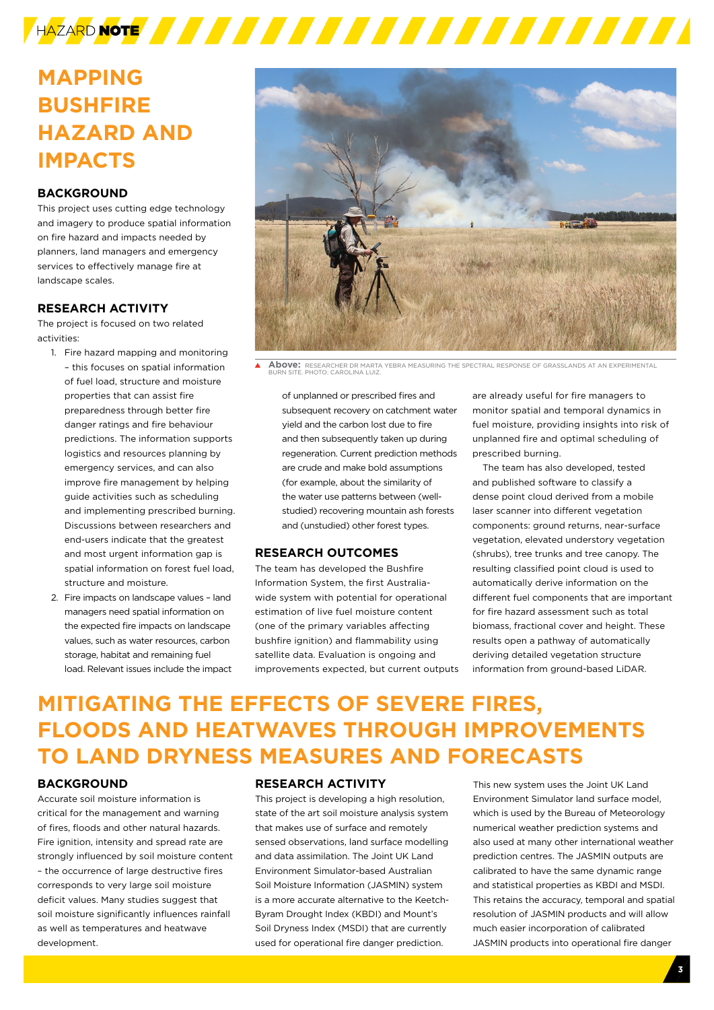

# **MAPPING BUSHFIRE HAZARD AND IMPACTS**

# **BACKGROUND**

This project uses cutting edge technology and imagery to produce spatial information on fire hazard and impacts needed by planners, land managers and emergency services to effectively manage fire at landscape scales.

# **RESEARCH ACTIVITY**

The project is focused on two related activities:

- 1. Fire hazard mapping and monitoring – this focuses on spatial information of fuel load, structure and moisture properties that can assist fire preparedness through better fire danger ratings and fire behaviour predictions. The information supports logistics and resources planning by emergency services, and can also improve fire management by helping guide activities such as scheduling and implementing prescribed burning. Discussions between researchers and end-users indicate that the greatest and most urgent information gap is spatial information on forest fuel load, structure and moisture.
- 2. Fire impacts on landscape values land managers need spatial information on the expected fire impacts on landscape values, such as water resources, carbon storage, habitat and remaining fuel load. Relevant issues include the impact



 $\blacktriangle$ **Above:** RESEARCHER DR MARTA YEBRA MEASURING THE SPECTRAL RESPONSE OF GRASSLANDS AT AN EXPERIMENTAL BURN SITE. PHOTO: CAROLINA LUIZ.

of unplanned or prescribed fires and subsequent recovery on catchment water yield and the carbon lost due to fire and then subsequently taken up during regeneration. Current prediction methods are crude and make bold assumptions (for example, about the similarity of the water use patterns between (wellstudied) recovering mountain ash forests and (unstudied) other forest types.

## **RESEARCH OUTCOMES**

The team has developed the Bushfire Information System, the first Australiawide system with potential for operational estimation of live fuel moisture content (one of the primary variables affecting bushfire ignition) and flammability using satellite data. Evaluation is ongoing and improvements expected, but current outputs are already useful for fire managers to monitor spatial and temporal dynamics in fuel moisture, providing insights into risk of unplanned fire and optimal scheduling of prescribed burning.

The team has also developed, tested and published software to classify a dense point cloud derived from a mobile laser scanner into different vegetation components: ground returns, near-surface vegetation, elevated understory vegetation (shrubs), tree trunks and tree canopy. The resulting classified point cloud is used to automatically derive information on the different fuel components that are important for fire hazard assessment such as total biomass, fractional cover and height. These results open a pathway of automatically deriving detailed vegetation structure information from ground-based LiDAR.

# **MITIGATING THE EFFECTS OF SEVERE FIRES, FLOODS AND HEATWAVES THROUGH IMPROVEMENTS TO LAND DRYNESS MEASURES AND FORECASTS**

## **BACKGROUND**

Accurate soil moisture information is critical for the management and warning of fires, floods and other natural hazards. Fire ignition, intensity and spread rate are strongly influenced by soil moisture content – the occurrence of large destructive fires corresponds to very large soil moisture deficit values. Many studies suggest that soil moisture significantly influences rainfall as well as temperatures and heatwave development.

#### **RESEARCH ACTIVITY**

This project is developing a high resolution, state of the art soil moisture analysis system that makes use of surface and remotely sensed observations, land surface modelling and data assimilation. The Joint UK Land Environment Simulator-based Australian Soil Moisture Information (JASMIN) system is a more accurate alternative to the Keetch-Byram Drought Index (KBDI) and Mount's Soil Dryness Index (MSDI) that are currently used for operational fire danger prediction.

This new system uses the Joint UK Land Environment Simulator land surface model, which is used by the Bureau of Meteorology numerical weather prediction systems and also used at many other international weather prediction centres. The JASMIN outputs are calibrated to have the same dynamic range and statistical properties as KBDI and MSDI. This retains the accuracy, temporal and spatial resolution of JASMIN products and will allow much easier incorporation of calibrated JASMIN products into operational fire danger